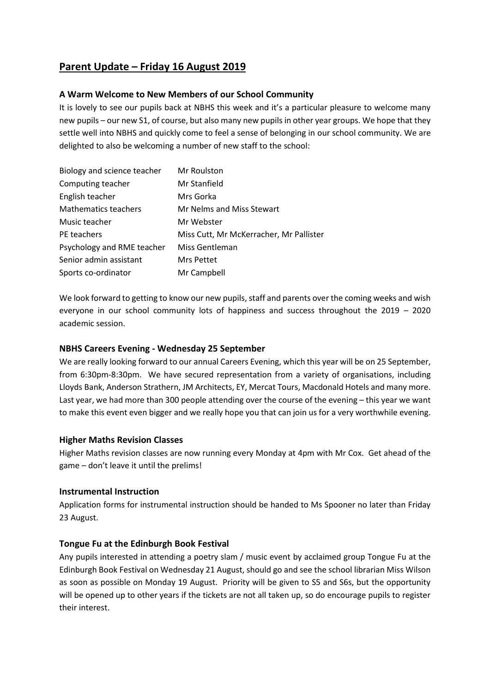# **Parent Update – Friday 16 August 2019**

### **A Warm Welcome to New Members of our School Community**

It is lovely to see our pupils back at NBHS this week and it's a particular pleasure to welcome many new pupils – our new S1, of course, but also many new pupils in other year groups. We hope that they settle well into NBHS and quickly come to feel a sense of belonging in our school community. We are delighted to also be welcoming a number of new staff to the school:

| Biology and science teacher | Mr Roulston                             |
|-----------------------------|-----------------------------------------|
| Computing teacher           | Mr Stanfield                            |
| English teacher             | Mrs Gorka                               |
| <b>Mathematics teachers</b> | Mr Nelms and Miss Stewart               |
| Music teacher               | Mr Webster                              |
| PE teachers                 | Miss Cutt, Mr McKerracher, Mr Pallister |
| Psychology and RME teacher  | Miss Gentleman                          |
| Senior admin assistant      | <b>Mrs Pettet</b>                       |
| Sports co-ordinator         | Mr Campbell                             |

We look forward to getting to know our new pupils, staff and parents over the coming weeks and wish everyone in our school community lots of happiness and success throughout the 2019 – 2020 academic session.

### **NBHS Careers Evening - Wednesday 25 September**

We are really looking forward to our annual Careers Evening, which this year will be on 25 September, from 6:30pm-8:30pm. We have secured representation from a variety of organisations, including Lloyds Bank, Anderson Strathern, JM Architects, EY, Mercat Tours, Macdonald Hotels and many more. Last year, we had more than 300 people attending over the course of the evening – this year we want to make this event even bigger and we really hope you that can join us for a very worthwhile evening.

### **Higher Maths Revision Classes**

Higher Maths revision classes are now running every Monday at 4pm with Mr Cox. Get ahead of the game – don't leave it until the prelims!

### **Instrumental Instruction**

Application forms for instrumental instruction should be handed to Ms Spooner no later than Friday 23 August.

## **Tongue Fu at the Edinburgh Book Festival**

Any pupils interested in attending a poetry slam / music event by acclaimed group Tongue Fu at the Edinburgh Book Festival on Wednesday 21 August, should go and see the school librarian Miss Wilson as soon as possible on Monday 19 August. Priority will be given to S5 and S6s, but the opportunity will be opened up to other years if the tickets are not all taken up, so do encourage pupils to register their interest.